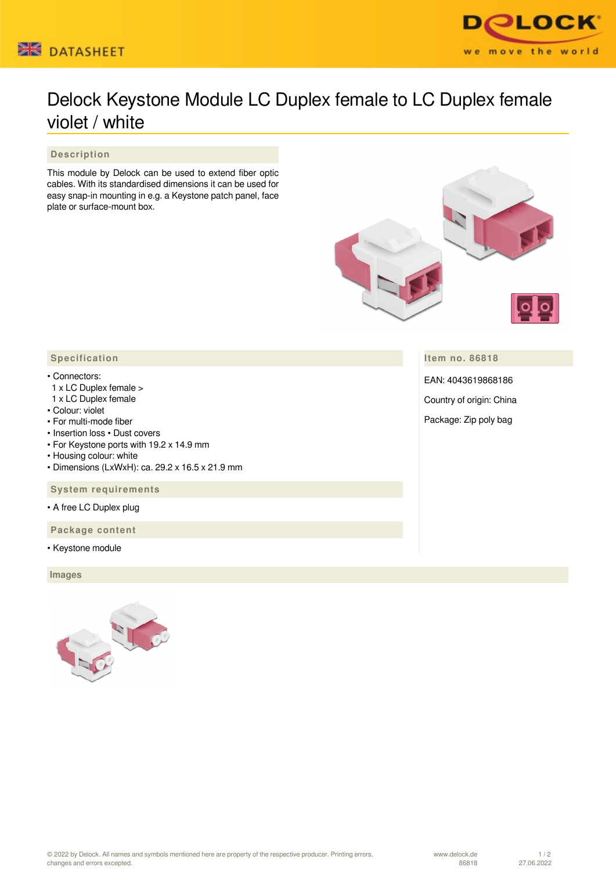



## Delock Keystone Module LC Duplex female to LC Duplex female violet / white

 **Description**

This module by Delock can be used to extend fiber optic cables. With its standardised dimensions it can be used for easy snap-in mounting in e.g. a Keystone patch panel, face plate or surface-mount box.



**Item no. 86818**

EAN: 4043619868186

Country of origin: China

Package: Zip poly bag

## **Specification**

## • Connectors:

- 1 x LC Duplex female >
- 1 x LC Duplex female
- Colour: violet
- For multi-mode fiber
- Insertion loss Dust covers
- For Keystone ports with 19.2 x 14.9 mm
- Housing colour: white
- Dimensions (LxWxH): ca. 29.2 x 16.5 x 21.9 mm

 **System requirements**

• A free LC Duplex plug

 **Package content**

• Keystone module

 **Images**